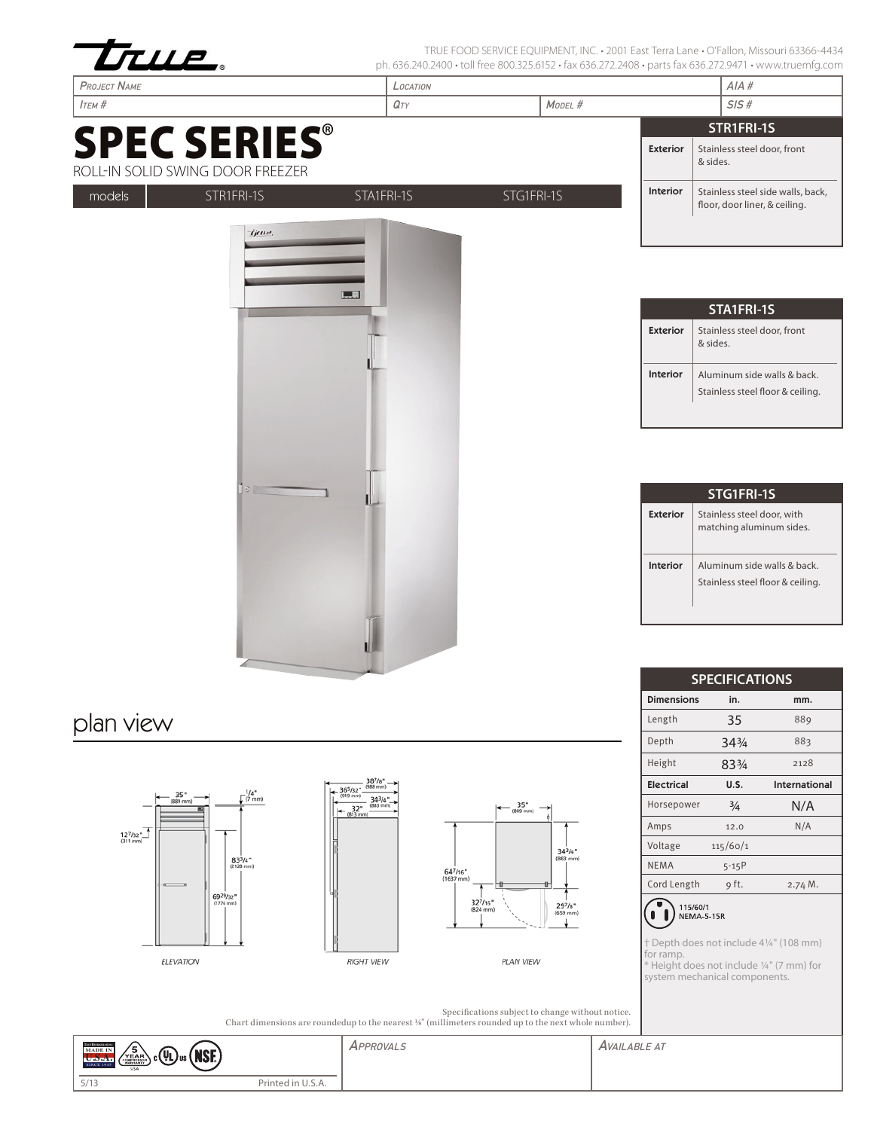| ULLE.<br><b>PROJECT NAME</b>                            | LOCATION                                                | ph. 636.240.2400 • toll free 800.325.6152 • fax 636.272.2408 • parts fax 636.272.9471 • www.truemfg.com |                   |                                                                            |                                   |
|---------------------------------------------------------|---------------------------------------------------------|---------------------------------------------------------------------------------------------------------|-------------------|----------------------------------------------------------------------------|-----------------------------------|
| $I$ тєм #                                               | $Q_T$                                                   | MODEL #                                                                                                 | AIA#<br>SIS#      |                                                                            |                                   |
|                                                         |                                                         |                                                                                                         |                   | STR1FRI-1S                                                                 |                                   |
| <b>SPEC SERIES®</b><br>ROLL-IN SOLID SWING DOOR FREEZER |                                                         |                                                                                                         | <b>Exterior</b>   | Stainless steel door, front<br>& sides.                                    |                                   |
| STR1FRI-1S<br>models                                    | STA1FRI-1S                                              | STG1FRI-1S                                                                                              | <b>Interior</b>   | floor, door liner, & ceiling.                                              | Stainless steel side walls, back, |
|                                                         | <b>L.E</b>                                              |                                                                                                         | <b>Exterior</b>   | STA1FRI-1S<br>Stainless steel door, front<br>& sides.                      |                                   |
|                                                         |                                                         |                                                                                                         | Interior          | Aluminum side walls & back.<br>Stainless steel floor & ceiling.            |                                   |
| $12 -$                                                  |                                                         |                                                                                                         |                   | STG1FRI-1S                                                                 |                                   |
|                                                         |                                                         |                                                                                                         | <b>Exterior</b>   | Stainless steel door, with<br>matching aluminum sides.                     |                                   |
|                                                         |                                                         |                                                                                                         | <b>Interior</b>   | Aluminum side walls & back.<br>Stainless steel floor & ceiling.            |                                   |
|                                                         |                                                         |                                                                                                         |                   | <b>SPECIFICATIONS</b>                                                      |                                   |
|                                                         |                                                         |                                                                                                         | <b>Dimensions</b> | in.                                                                        | mm.                               |
| plan view                                               |                                                         |                                                                                                         | Length            | 35                                                                         | 889                               |
|                                                         |                                                         |                                                                                                         | Depth             | 343/4                                                                      | 883                               |
|                                                         |                                                         |                                                                                                         | Height            | 833/4                                                                      | 2128                              |
| 365/32"<br>$\frac{1}{4}$ (7 mm)                         | $.38^{7}/s^*$ .<br>(988 mm)<br>$(919$ mm $)$            |                                                                                                         | <b>Electrical</b> | U.S.                                                                       | International                     |
| 35"<br>(889 mm)                                         | $34^{3}/4$<br>(883 mm)<br>$+$ 32"<br>$(813 \text{ mm})$ | $35"$<br>(889 mm)                                                                                       | Horsepower        | $\frac{3}{4}$                                                              | N/A                               |
| $\frac{12^{7}}{(311 \text{ mm})}$                       |                                                         |                                                                                                         | Amps              | 12.0                                                                       | N/A                               |
| $83^{3}/4"$                                             |                                                         | $34^{3}/4"$<br>$(883$ mm $)$                                                                            | Voltage           | 115/60/1                                                                   |                                   |
| $(2128$ mm)                                             | 647/16"<br>$(1637$ mm)                                  |                                                                                                         | <b>NEMA</b>       | $5 - 15P$                                                                  |                                   |
| 6929/32"<br>$(1776$ mm)                                 |                                                         | 327/16"<br>$29^{7}/s$ *<br>$(824$ mm $)$<br>(659 mm)                                                    | Cord Length       | 9 ft.<br>115/60/1<br>NEMA-5-15R<br>† Depth does not include 41/4" (108 mm) | 2.74 M.                           |
| ELEVATION                                               | <b>RIGHT VIEW</b>                                       | PLAN VIEW                                                                                               | for ramp.         | * Height does not include 1/4" (7 mm) for<br>system mechanical components. |                                   |

APPROVALS **AVAILABLE AT**  $\left(\frac{5}{\sqrt{2}}\right)$   $\left(\frac{1}{\sqrt{2}}\right)$   $\left(\frac{1}{\sqrt{2}}\right)$   $\left(\frac{1}{\sqrt{2}}\right)$ Printed in U.S.A.  $5/13$